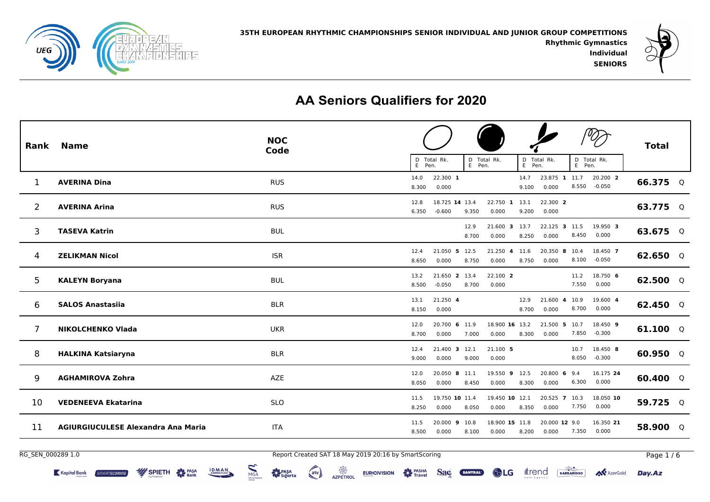



**SENIORS**

# **AA Seniors Qualifiers for<sup>2020</sup>**

| Rank              | <b>Name</b>                               | <b>NOC</b><br>Code | <b>Total</b><br>D Total Rk.<br>D Total Rk.<br>D Total Rk.<br>D Total Rk.                                                                                      |
|-------------------|-------------------------------------------|--------------------|---------------------------------------------------------------------------------------------------------------------------------------------------------------|
| 1                 | <b>AVERINA Dina</b>                       | <b>RUS</b>         | E Pen.<br>E Pen.<br>E Pen.<br>E Pen.<br>22.300 1<br>23.875 1 11.7<br>20.200 2<br>14.0<br>14.7<br>66.375 Q<br>8.550 -0.050<br>0.000<br>0.000<br>8.300<br>9.100 |
| $\overline{2}$    | <b>AVERINA Arina</b>                      | <b>RUS</b>         | 18.725 14 13.4<br>12.8<br>22.750 1 13.1<br>22.300 2<br>63.775 Q<br>$-0.600$<br>9.350<br>0.000<br>9.200<br>0.000<br>6.350                                      |
| 3                 | <b>TASEVA Katrin</b>                      | <b>BUL</b>         | 21.600 3 13.7<br>22.125 3 11.5<br>19.950 3<br>12.9<br>63.675 $Q$<br>8.450<br>0.000<br>8.700<br>8.250<br>0.000<br>0.000                                        |
| 4                 | <b>ZELIKMAN Nicol</b>                     | <b>ISR</b>         | 12.4<br>21.050 5 12.5<br>21.250 4 11.6<br>20.350 8 10.4<br>18.450 7<br>62.650 $Q$<br>8.100 -0.050<br>8.650<br>0.000<br>8.750<br>0.000<br>8.750<br>0.000       |
| 5                 | <b>KALEYN Boryana</b>                     | <b>BUL</b>         | 21.650 2 13.4<br>22.100 2<br>18.750 6<br>13.2<br>11.2<br>62.500 $Q$<br>7.550 0.000<br>$-0.050$<br>8.700<br>0.000<br>8.500                                     |
| 6                 | <b>SALOS Anastasiia</b>                   | <b>BLR</b>         | 21.250 4<br>13.1<br>12.9<br>21.600 4<br>10.9<br>19.600 4<br>62.450 $Q$<br>0.000<br>8.700<br>8.150<br>0.000<br>8.700<br>0.000                                  |
| $\overline{7}$    | <b>NIKOLCHENKO Vlada</b>                  | <b>UKR</b>         | 20.700 6 11.9<br>18.900 16 13.2<br>21.500 5 10.7<br>18.450 9<br>12.0<br>61.100 $Q$<br>7.850 -0.300<br>0.000<br>0.000<br>8.700<br>7.000<br>0.000<br>8.300      |
| 8                 | <b>HALKINA Katsiaryna</b>                 | <b>BLR</b>         | 21.400 3 12.1<br>21.100 5<br>18.450 8<br>12.4<br>10.7<br>60.950 $Q$<br>8.050<br>$-0.300$<br>9.000<br>0.000<br>9.000<br>0.000                                  |
| 9                 | <b>AGHAMIROVA Zohra</b>                   | <b>AZE</b>         | 20.050 8 11.1<br>19.550 9 12.5<br>20.800 6<br>9.4<br>16.175 24<br>12.0<br>60.400 $Q$<br>6.300<br>0.000<br>0.000<br>8.050<br>0.000<br>8.450<br>0.000<br>8.300  |
| 10                | <b>VEDENEEVA Ekatarina</b>                | <b>SLO</b>         | 19.750 10 11.4<br>19.450 10 12.1<br>20.525 7 10.3<br>18.050 10<br>11.5<br>59.725 Q<br>0.000<br>7.750<br>0.000<br>8.250<br>0.000<br>8.050<br>0.000<br>8.350    |
| 11                | <b>AGIURGIUCULESE Alexandra Ana Maria</b> | <b>ITA</b>         | 20.000 9 10.8<br>18.900 15 11.8<br>20.000 12 9.0<br>11.5<br>16.350 21<br>58.900 Q<br>7.350<br>0.000<br>8.500<br>8.100<br>8.200<br>0.000<br>0.000<br>0.000     |
| RG SEN 000289 1.0 |                                           |                    | Report Created SAT 18 May 2019 20:16 by SmartScoring<br>Page 1/6                                                                                              |

RG\_SEN\_000289 1.0

Kapital Bank

**EURIOVISION** 

**ALA** PASHA

**Sac** 

**SANTRAL** 

**GULG** 

**A**<br>AZPETROL

 $\left($ atv $\right)$ 

 $\sum_{MGA}$ 

**i D M A N**<br>Azərbaycan

**WE SPIETH** 

Day.Az

IFRAC BARBARISSO

AzerGold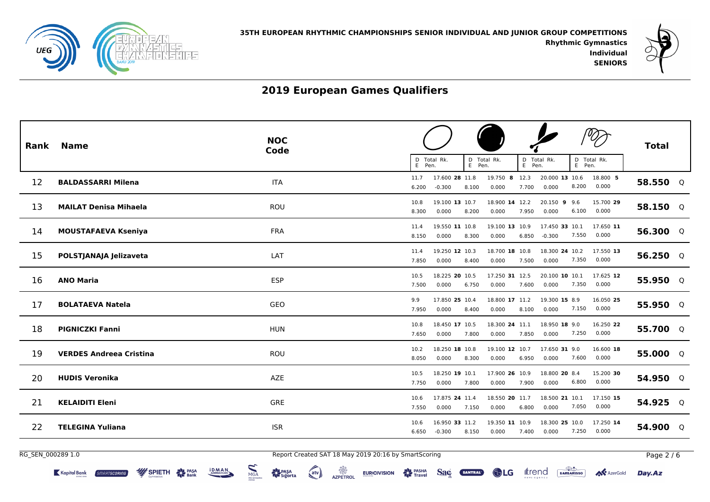



 **IndividualSENIORS**

Irend BARBARISSO

**AV** AzerGold

Day.Az

## **2019 European Games Qualifiers**

| Rank              | <b>Name</b>                    | <b>NOC</b><br>Code                                   | D Total Rk.                                 | D Total Rk.                      | D Total Rk.                         | D Total Rk.                 | <b>Total</b> |
|-------------------|--------------------------------|------------------------------------------------------|---------------------------------------------|----------------------------------|-------------------------------------|-----------------------------|--------------|
| 12                | <b>BALDASSARRI Milena</b>      | <b>ITA</b>                                           | E Pen.<br>17.600 28 11.8<br>11.7            | E Pen.<br>19.750 8 12.3          | E Pen.<br>20.000 13 10.6            | E Pen.<br>18.800 5          | 58.550 Q     |
|                   |                                |                                                      | 6.200<br>$-0.300$                           | 8.100<br>0.000                   | 0.000<br>7.700                      | 8.200<br>0.000              |              |
| 13                | <b>MAILAT Denisa Mihaela</b>   | ROU                                                  | 19.100 13 10.7<br>10.8<br>8.300<br>0.000    | 18.900 14 12.2<br>8.200<br>0.000 | 20.150 9 9.6<br>0.000<br>7.950      | 15.700 29<br>0.000<br>6.100 | 58.150 Q     |
| 14                | <b>MOUSTAFAEVA Kseniya</b>     | <b>FRA</b>                                           | 19.550 11 10.8<br>11.4<br>8.150<br>0.000    | 19.100 13 10.9<br>8.300<br>0.000 | 17.450 33 10.1<br>$-0.300$<br>6.850 | 17.650 11<br>0.000<br>7.550 | 56.300 Q     |
| 15                | POLSTJANAJA Jelizaveta         | LAT                                                  | 19.250 12 10.3<br>11.4<br>7.850<br>0.000    | 18.700 18 10.8<br>8.400<br>0.000 | 18.300 24 10.2<br>0.000<br>7.500    | 17.550 13<br>7.350<br>0.000 | 56.250 Q     |
| 16                | <b>ANO Maria</b>               | <b>ESP</b>                                           | 10.5<br>18.225 20 10.5<br>7.500<br>0.000    | 17.250 31 12.5<br>6.750<br>0.000 | 20.100 10 10.1<br>7.600<br>0.000    | 17.625 12<br>7.350<br>0.000 | 55.950 Q     |
| 17                | <b>BOLATAEVA Natela</b>        | GEO                                                  | 9.9<br>17.850 25 10.4<br>7.950<br>0.000     | 18.800 17 11.2<br>0.000<br>8.400 | 19.300 15 8.9<br>0.000<br>8.100     | 16.050 25<br>7.150<br>0.000 | 55.950 Q     |
| 18                | <b>PIGNICZKI Fanni</b>         | <b>HUN</b>                                           | 18.450 17 10.5<br>10.8<br>7.650<br>0.000    | 18.300 24 11.1<br>7.800<br>0.000 | 18.950 18 9.0<br>0.000<br>7.850     | 16.250 22<br>0.000<br>7.250 | 55.700 Q     |
| 19                | <b>VERDES Andreea Cristina</b> | ROU                                                  | 18.250 18 10.8<br>10.2<br>0.000<br>8.050    | 19.100 12 10.7<br>0.000<br>8.300 | 17.650 31 9.0<br>0.000<br>6.950     | 16.600 18<br>0.000<br>7.600 | 55.000 Q     |
| 20                | <b>HUDIS Veronika</b>          | AZE                                                  | 18.250 19 10.1<br>10.5<br>7.750<br>0.000    | 17.900 26 10.9<br>7.800<br>0.000 | 18.800 20 8.4<br>0.000<br>7.900     | 15.200 30<br>0.000<br>6.800 | 54.950 Q     |
| 21                | <b>KELAIDITI Eleni</b>         | <b>GRE</b>                                           | 17.875 24 11.4<br>10.6<br>7.550<br>0.000    | 18.550 20 11.7<br>0.000<br>7.150 | 18.500 21 10.1<br>0.000<br>6.800    | 17.150 15<br>7.050<br>0.000 | 54.925 Q     |
| 22                | <b>TELEGINA Yuliana</b>        | <b>ISR</b>                                           | 10.6<br>16.950 33 11.2<br>$-0.300$<br>6.650 | 19.350 11 10.9<br>0.000<br>8.150 | 18.300 25 10.0<br>7.400<br>0.000    | 17.250 14<br>7.250<br>0.000 | 54.900 Q     |
| RG SEN 000289 1.0 |                                | Report Created SAT 18 May 2019 20:16 by SmartScoring |                                             |                                  |                                     |                             | Page 2 / 6   |

o o poder<br>AZPETROL

 $\left(\begin{matrix}$ atv $\end{matrix}\right)$ 

**EURIOVISION PASHA**<br>Travel

Sac

SANTRAL

**CDLG** 

**iDMAN** 

**WE SPIETH AN PASA** 

Kapital Bank

*MARTSCORING* 

MGA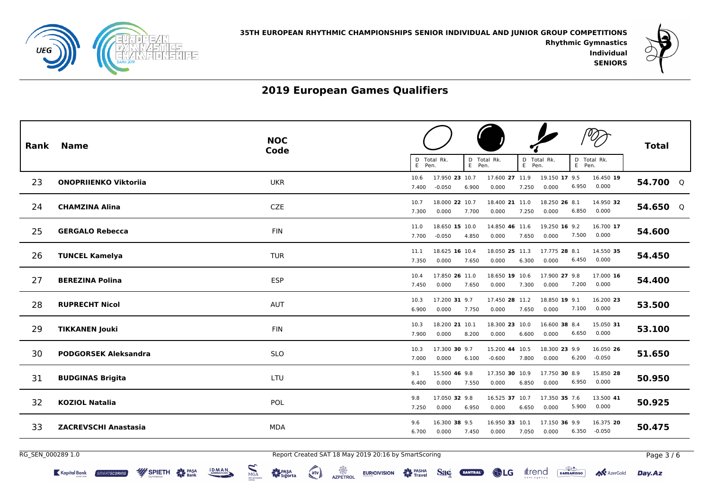



 **IndividualSENIORS**

## **2019 European Games Qualifiers**

| Rank              | <b>Name</b>                                                                                    | <b>NOC</b><br>Code                                                                                                                          | D Total Rk.<br>D Total Rk.                                                                         | D Total Rk.                                        | D Total Rk.                  | <b>Total</b>       |
|-------------------|------------------------------------------------------------------------------------------------|---------------------------------------------------------------------------------------------------------------------------------------------|----------------------------------------------------------------------------------------------------|----------------------------------------------------|------------------------------|--------------------|
| 23                | <b>ONOPRIIENKO Viktorija</b>                                                                   | <b>UKR</b>                                                                                                                                  | E Pen<br>E Pen.<br>17.950 23 10.7<br>10.6<br>17.600 27 11.9<br>7.400<br>$-0.050$<br>6.900<br>0.000 | E Pen.<br>19.150 17 9.5<br>6.950<br>7.250<br>0.000 | E Pen.<br>16.450 19<br>0.000 | 54.700 Q           |
| 24                | <b>CHAMZINA Alina</b>                                                                          | CZE                                                                                                                                         | 10.7<br>18.000 22 10.7<br>18.400 21 11.0<br>7.300<br>0.000<br>7.700<br>0.000                       | 18.250 26 8.1<br>6.850<br>7.250<br>0.000           | 14.950 32<br>0.000           | 54.650 Q           |
| 25                | <b>GERGALO Rebecca</b>                                                                         | <b>FIN</b>                                                                                                                                  | 18.650 15 10.0<br>14.850 46 11.6<br>11.0<br>7.700<br>$-0.050$<br>4.850<br>0.000                    | 19.250 16 9.2<br>7.500<br>7.650<br>0.000           | 16.700 17<br>0.000           | 54.600             |
| 26                | <b>TUNCEL Kamelya</b>                                                                          | <b>TUR</b>                                                                                                                                  | 11.1<br>18.625 16 10.4<br>18.050 25 11.3<br>7.350<br>0.000<br>7.650<br>0.000                       | 17.775 28 8.1<br>6.450<br>6.300<br>0.000           | 14.550 35<br>0.000           | 54.450             |
| 27                | <b>BEREZINA Polina</b>                                                                         | <b>ESP</b>                                                                                                                                  | 17.850 26 11.0<br>18.650 19 10.6<br>10.4<br>7.450<br>0.000<br>7.650<br>0.000                       | 17.900 27 9.8<br>7.200<br>7.300<br>0.000           | 17.000 16<br>0.000           | 54.400             |
| 28                | <b>RUPRECHT Nicol</b>                                                                          | <b>AUT</b>                                                                                                                                  | 17.200 31 9.7<br>17.450 28 11.2<br>10.3<br>6.900<br>0.000<br>7.750<br>0.000                        | 18.850 19 9.1<br>7.100<br>7.650<br>0.000           | 16.200 23<br>0.000           | 53.500             |
| 29                | <b>TIKKANEN Jouki</b>                                                                          | <b>FIN</b>                                                                                                                                  | 18.200 21 10.1<br>18.300 23 10.0<br>10.3<br>7.900<br>0.000<br>0.000<br>8.200                       | 16.600 38 8.4<br>6.650<br>6.600<br>0.000           | 15.050 31<br>0.000           | 53.100             |
| 30                | <b>PODGORSEK Aleksandra</b>                                                                    | <b>SLO</b>                                                                                                                                  | 10.3<br>17.300 30 9.7<br>15.200 44 10.5<br>0.000<br>6.100<br>7.000<br>$-0.600$                     | 18.300 23 9.9<br>0.000<br>7.800                    | 16.050 26<br>6.200 -0.050    | 51.650             |
| 31                | <b>BUDGINAS Brigita</b>                                                                        | LTU                                                                                                                                         | 9.1<br>15.500 46 9.8<br>17.350 30 10.9<br>6.400<br>0.000<br>7.550<br>0.000                         | 17.750 30 8.9<br>6.950<br>6.850<br>0.000           | 15.850 28<br>0.000           | 50.950             |
| 32                | <b>KOZIOL Natalia</b>                                                                          | POL                                                                                                                                         | 9.8<br>17.050 32 9.8<br>16.525 37 10.7<br>7.250<br>0.000<br>6.950<br>0.000                         | 17.350 35 7.6<br>5.900<br>6.650<br>0.000           | 13.500 41<br>0.000           | 50.925             |
| 33                | <b>ZACREVSCHI Anastasia</b>                                                                    | MDA                                                                                                                                         | 9.6<br>16.300 38 9.5<br>16.950 33 10.1<br>6.700<br>0.000<br>7.450<br>0.000                         | 17.150 36 9.9<br>6.350<br>7.050<br>0.000           | 16.375 20<br>$-0.050$        | 50.475             |
| RG_SEN_000289 1.0 | $\sum_{MGA}$<br><b>iDMAN</b><br><b>WE SPIETH AN PASA</b><br>Kapital Bank<br><b>MARTSCORING</b> | Report Created SAT 18 May 2019 20:16 by SmartScoring<br>。<br>AZPETROL<br><b>ALA</b> PASA<br><b>RA</b> Sigorta<br>atv)<br><b>EURIOVISION</b> | <b>PASHA</b><br>Travel<br>Sac<br><b>OLG</b><br>SANTRAL                                             | <b>BARBARISSO</b><br><b>ftrend</b>                 | A AzerGold                   | Page 3/6<br>Day.Az |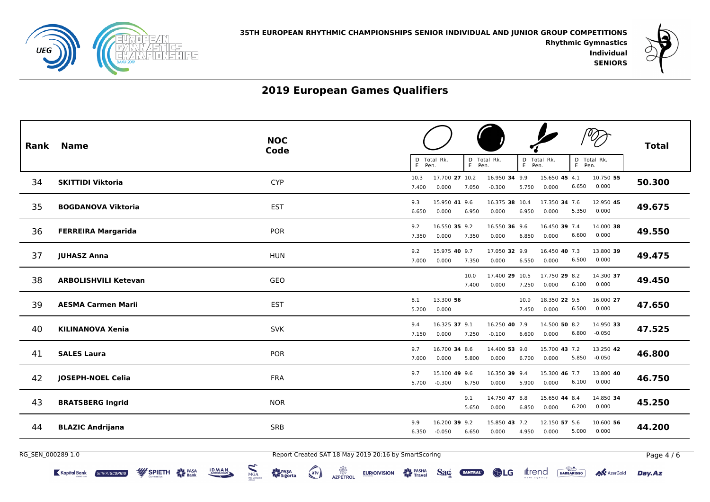



 **IndividualSENIORS**

### **2019 European Games Qualifiers**

| Rank              | <b>Name</b>                                                                                         | <b>NOC</b><br>Code                                                                                                                                                                                             | D Total Rk.<br>D Total Rk.<br>E Pen.<br>E Pen.                                 | D Total Rk.<br>D Total Rk.<br>E Pen.<br>E Pen.                         | <b>Total</b>         |
|-------------------|-----------------------------------------------------------------------------------------------------|----------------------------------------------------------------------------------------------------------------------------------------------------------------------------------------------------------------|--------------------------------------------------------------------------------|------------------------------------------------------------------------|----------------------|
| 34                | <b>SKITTIDI Viktoria</b>                                                                            | <b>CYP</b>                                                                                                                                                                                                     | 17.700 27 10.2<br>16.950 34 9.9<br>10.3<br>7.400<br>0.000<br>7.050<br>$-0.300$ | 15.650 45 4.1<br>10.750 55<br>6.650<br>0.000<br>5.750<br>0.000         | 50.300               |
| 35                | <b>BOGDANOVA Viktoria</b>                                                                           | <b>EST</b>                                                                                                                                                                                                     | 15.950 41 9.6<br>16.375 38 10.4<br>9.3<br>6.650<br>6.950<br>0.000<br>0.000     | 17.350 34 7.6<br>12.950 45<br>0.000<br>5.350<br>6.950<br>0.000         | 49.675               |
| 36                | <b>FERREIRA Margarida</b>                                                                           | <b>POR</b>                                                                                                                                                                                                     | 16.550 35 9.2<br>16.550 36 9.6<br>9.2<br>7.350<br>0.000<br>7.350<br>0.000      | 16.450 39 7.4<br>14.000 38<br>6.600<br>0.000<br>6.850<br>0.000         | 49.550               |
| 37                | <b>JUHASZ Anna</b>                                                                                  | <b>HUN</b>                                                                                                                                                                                                     | 9.2<br>15.975 40 9.7<br>17.050 32 9.9<br>7.000<br>0.000<br>7.350<br>0.000      | 16.450 40 7.3<br>13.800 39<br>6.500<br>0.000<br>6.550<br>0.000         | 49.475               |
| 38                | <b>ARBOLISHVILI Ketevan</b>                                                                         | GEO                                                                                                                                                                                                            | 10.0<br>17.400 29 10.5<br>7.400<br>0.000                                       | 17.750 29 8.2<br>14.300 37<br>0.000<br>6.100<br>7.250<br>0.000         | 49.450               |
| 39                | <b>AESMA Carmen Marii</b>                                                                           | <b>EST</b>                                                                                                                                                                                                     | 13.300 56<br>8.1<br>5.200<br>0.000                                             | 18.350 22 9.5<br>16.000 27<br>10.9<br>0.000<br>6.500<br>7.450<br>0.000 | 47.650               |
| 40                | <b>KILINANOVA Xenia</b>                                                                             | <b>SVK</b>                                                                                                                                                                                                     | 16.325 37 9.1<br>16.250 40 7.9<br>9.4<br>7.150<br>0.000<br>7.250<br>$-0.100$   | 14.500 50 8.2<br>14.950 33<br>6.800 -0.050<br>6.600<br>0.000           | 47.525               |
| 41                | <b>SALES Laura</b>                                                                                  | <b>POR</b>                                                                                                                                                                                                     | 9.7<br>16.700 34 8.6<br>14.400 53 9.0<br>7.000<br>0.000<br>5.800<br>0.000      | 15.700 43 7.2<br>13.250 42<br>$-0.050$<br>5.850<br>0.000<br>6.700      | 46.800               |
| 42                | JOSEPH-NOEL Celia                                                                                   | <b>FRA</b>                                                                                                                                                                                                     | 9.7<br>15.100 49 9.6<br>16.350 39 9.4<br>5.700<br>6.750<br>0.000<br>$-0.300$   | 15.300 46 7.7<br>13.800 40<br>6.100<br>0.000<br>5.900<br>0.000         | 46.750               |
| 43                | <b>BRATSBERG Ingrid</b>                                                                             | <b>NOR</b>                                                                                                                                                                                                     | 9.1<br>14.750 47<br>5.650<br>0.000                                             | 8.8<br>15.650 44 8.4<br>14.850 34<br>0.000<br>6.200<br>6.850<br>0.000  | 45.250               |
| 44                | <b>BLAZIC Andrijana</b>                                                                             | <b>SRB</b>                                                                                                                                                                                                     | 9.9<br>16.200 39 9.2<br>15.850 43 7.2<br>6.350<br>$-0.050$<br>6.650<br>0.000   | 12.150 57 5.6<br>10.600 56<br>5.000<br>0.000<br>4.950<br>0.000         | 44.200               |
| RG_SEN_000289 1.0 | $\sum_{MGA}$<br><b>i D M A N</b><br><b>WE SPIETH AN PASA</b><br>Kapital Bank<br><b>SMARTSCORING</b> | Report Created SAT 18 May 2019 20:16 by SmartScoring<br><b>&amp;</b><br>AZPETROL<br><b>A<sup>D</sup>A PASA</b><br><b>RA</b> Siğorta<br>$\left(\begin{matrix}$ atv $\end{matrix}\right)$<br><b>EURIO)VISION</b> | <b>PASHA</b><br><b>RA</b> Travel<br>Sac<br><b>GLG</b><br>SANTRAL               | <b>BARBARISSO</b><br><b>ftrend</b><br><b>Ave</b> AzerGold              | Page 4 / 6<br>Day.Az |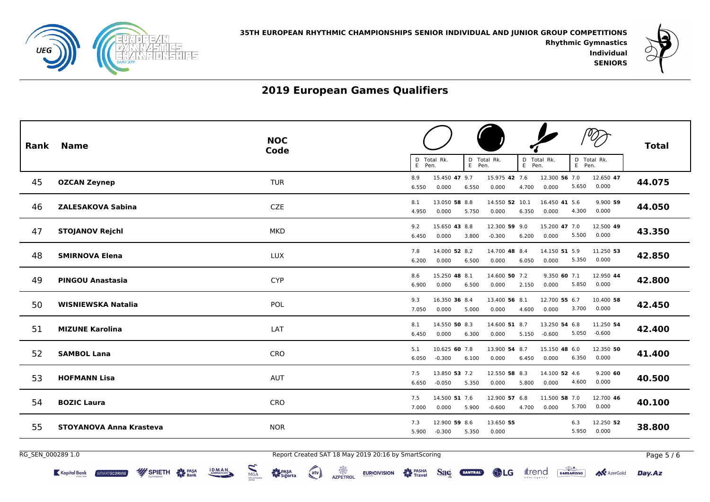



 **IndividualSENIORS**

Irend BARBARISSO

**AV** AzerGold

Day.Az

## **2019 European Games Qualifiers**

| Rank              | <b>Name</b>                    | <b>NOC</b><br>Code | <b>Total</b><br>D Total Rk.<br>D Total Rk.<br>D Total Rk.<br>D Total Rk.<br>E Pen.<br>E Pen.<br>E Pen.<br>E Pen.                                         |
|-------------------|--------------------------------|--------------------|----------------------------------------------------------------------------------------------------------------------------------------------------------|
| 45                | <b>OZCAN Zeynep</b>            | <b>TUR</b>         | 15.450 47 9.7<br>15.975 42 7.6<br>12.650 47<br>8.9<br>12.300 56 7.0<br>44.075<br>5.650<br>0.000<br>6.550<br>0.000<br>0.000<br>4.700<br>0.000<br>6.550    |
| 46                | <b>ZALESAKOVA Sabina</b>       | <b>CZE</b>         | 13.050 58 8.8<br>14.550 52 10.1<br>16.450 41 5.6<br>9.900 59<br>8.1<br>44.050<br>0.000<br>4.300<br>4.950<br>6.350<br>0.000<br>0.000<br>5.750<br>0.000    |
| 47                | <b>STOJANOV Rejchl</b>         | <b>MKD</b>         | 15.650 43 8.8<br>12.300 59 9.0<br>15.200 47 7.0<br>12.500 49<br>9.2<br>43.350<br>5.500<br>0.000<br>6.450<br>0.000<br>3.800<br>$-0.300$<br>6.200<br>0.000 |
| 48                | <b>SMIRNOVA Elena</b>          | <b>LUX</b>         | 14.000 52 8.2<br>14.150 51 5.9<br>7.8<br>14.700 48 8.4<br>11.250 53<br>42.850<br>5.350 0.000<br>6.200<br>0.000<br>6.500<br>6.050<br>0.000<br>0.000       |
| 49                | <b>PINGOU Anastasia</b>        | <b>CYP</b>         | 14.600 50 7.2<br>8.6<br>15.250 48 8.1<br>9.350 60 7.1<br>12.950 44<br>42.800<br>5.850<br>0.000<br>0.000<br>6.900<br>0.000<br>6.500<br>0.000<br>2.150     |
| 50                | WISNIEWSKA Natalia             | POL                | 16.350 36 8.4<br>13.400 56 8.1<br>12.700 55 6.7<br>10.400 58<br>9.3<br>42.450<br>3.700<br>0.000<br>0.000<br>7.050<br>0.000<br>5.000<br>0.000<br>4.600    |
| 51                | <b>MIZUNE Karolina</b>         | LAT                | 8.1<br>14.550 50 8.3<br>14.600 51 8.7<br>13.250 54 6.8<br>11.250 54<br>42.400<br>5.050 -0.600<br>6.450<br>0.000<br>6.300<br>0.000<br>5.150<br>$-0.600$   |
| 52                | <b>SAMBOL Lana</b>             | <b>CRO</b>         | 5.1<br>10.625 60 7.8<br>13.900 54 8.7<br>15.150 48 6.0<br>12.350 50<br>41.400<br>0.000<br>6.350<br>0.000<br>6.050<br>$-0.300$<br>0.000<br>6.450<br>6.100 |
| 53                | <b>HOFMANN Lisa</b>            | <b>AUT</b>         | 13.850 53 7.2<br>12.550 58 8.3<br>14.100 52 4.6<br>9.200 60<br>7.5<br>40.500<br>0.000<br>4.600<br>6.650<br>$-0.050$<br>5.350<br>0.000<br>5.800<br>0.000  |
| 54                | <b>BOZIC Laura</b>             | <b>CRO</b>         | 14.500 51 7.6<br>12.900 57 6.8<br>11.500 58 7.0<br>12.700 46<br>7.5<br>40.100<br>5.700<br>0.000<br>7.000<br>0.000<br>5.900<br>$-0.600$<br>4.700<br>0.000 |
| 55                | <b>STOYANOVA Anna Krasteva</b> | <b>NOR</b>         | 12.900 59 8.6<br>13.650 55<br>12.250 52<br>7.3<br>6.3<br>38.800<br>5.950 0.000<br>$-0.300$<br>5.350<br>0.000<br>5.900                                    |
| RG_SEN_000289 1.0 |                                |                    | Report Created SAT 18 May 2019 20:16 by SmartScoring<br>Page 5 / 6                                                                                       |

o o poder<br>AZPETROL

 $\left(\begin{matrix}$ atv $\end{matrix}\right)$ 

**EURIOVISION PASHA**<br>Travel

Sac

SANTRAL

**CDLG** 

**iDMAN** 

**WE SPIETH AN PASA** 

Kapital Bank

*MARTSCORIN* 

MGA